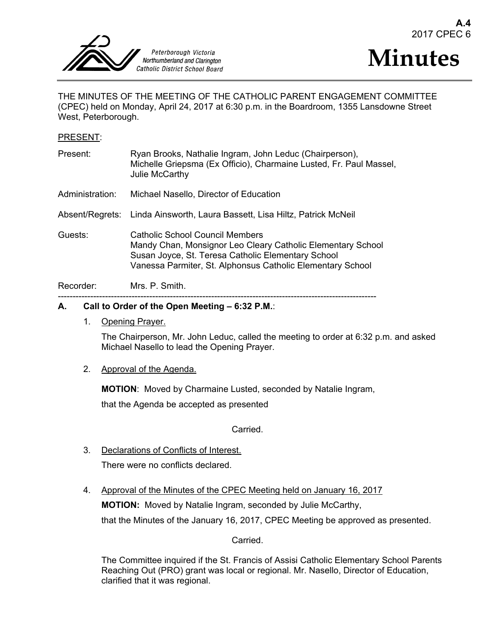



THE MINUTES OF THE MEETING OF THE CATHOLIC PARENT ENGAGEMENT COMMITTEE (CPEC) held on Monday, April 24, 2017 at 6:30 p.m. in the Boardroom, 1355 Lansdowne Street West, Peterborough.

#### PRESENT:

| Present:        | Ryan Brooks, Nathalie Ingram, John Leduc (Chairperson),<br>Michelle Griepsma (Ex Officio), Charmaine Lusted, Fr. Paul Massel,<br>Julie McCarthy                                                                    |
|-----------------|--------------------------------------------------------------------------------------------------------------------------------------------------------------------------------------------------------------------|
| Administration: | Michael Nasello, Director of Education                                                                                                                                                                             |
|                 | Absent/Regrets: Linda Ainsworth, Laura Bassett, Lisa Hiltz, Patrick McNeil                                                                                                                                         |
| Guests:         | Catholic School Council Members<br>Mandy Chan, Monsignor Leo Cleary Catholic Elementary School<br>Susan Joyce, St. Teresa Catholic Elementary School<br>Vanessa Parmiter, St. Alphonsus Catholic Elementary School |
| Recorder:       | Mrs. P. Smith.                                                                                                                                                                                                     |

# ------------------------------------------------------------------------------------------------------------

## **A. Call to Order of the Open Meeting – 6:32 P.M.**:

1. Opening Prayer.

The Chairperson, Mr. John Leduc, called the meeting to order at 6:32 p.m. and asked Michael Nasello to lead the Opening Prayer.

#### 2. Approval of the Agenda.

**MOTION**: Moved by Charmaine Lusted, seconded by Natalie Ingram,

that the Agenda be accepted as presented

**Carried** 

3. Declarations of Conflicts of Interest.

There were no conflicts declared.

4. Approval of the Minutes of the CPEC Meeting held on January 16, 2017 **MOTION:** Moved by Natalie Ingram, seconded by Julie McCarthy, that the Minutes of the January 16, 2017, CPEC Meeting be approved as presented.

Carried.

The Committee inquired if the St. Francis of Assisi Catholic Elementary School Parents Reaching Out (PRO) grant was local or regional. Mr. Nasello, Director of Education, clarified that it was regional.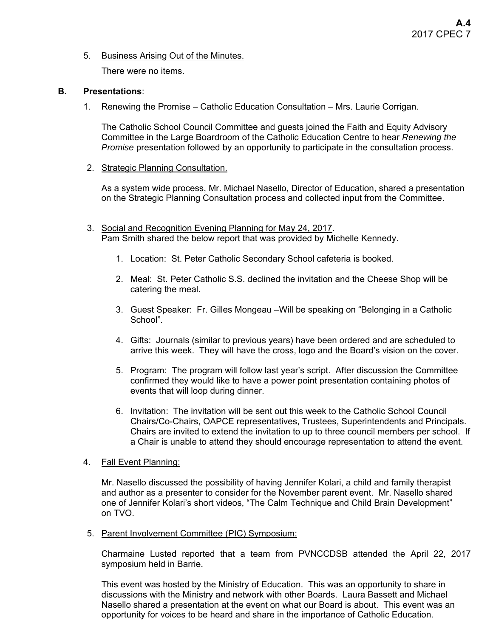## 5. Business Arising Out of the Minutes.

There were no items.

#### **B. Presentations**:

1. Renewing the Promise – Catholic Education Consultation – Mrs. Laurie Corrigan.

The Catholic School Council Committee and guests joined the Faith and Equity Advisory Committee in the Large Boardroom of the Catholic Education Centre to hear *Renewing the Promise* presentation followed by an opportunity to participate in the consultation process.

2. Strategic Planning Consultation.

As a system wide process, Mr. Michael Nasello, Director of Education, shared a presentation on the Strategic Planning Consultation process and collected input from the Committee.

- 3. Social and Recognition Evening Planning for May 24, 2017. Pam Smith shared the below report that was provided by Michelle Kennedy.
	- 1. Location: St. Peter Catholic Secondary School cafeteria is booked.
	- 2. Meal: St. Peter Catholic S.S. declined the invitation and the Cheese Shop will be catering the meal.
	- 3. Guest Speaker: Fr. Gilles Mongeau –Will be speaking on "Belonging in a Catholic School".
	- 4. Gifts: Journals (similar to previous years) have been ordered and are scheduled to arrive this week. They will have the cross, logo and the Board's vision on the cover.
	- 5. Program: The program will follow last year's script. After discussion the Committee confirmed they would like to have a power point presentation containing photos of events that will loop during dinner.
	- 6. Invitation: The invitation will be sent out this week to the Catholic School Council Chairs/Co-Chairs, OAPCE representatives, Trustees, Superintendents and Principals. Chairs are invited to extend the invitation to up to three council members per school. If a Chair is unable to attend they should encourage representation to attend the event.

## 4. Fall Event Planning:

Mr. Nasello discussed the possibility of having Jennifer Kolari, a child and family therapist and author as a presenter to consider for the November parent event. Mr. Nasello shared one of Jennifer Kolari's short videos, "The Calm Technique and Child Brain Development" on TVO.

5. Parent Involvement Committee (PIC) Symposium:

Charmaine Lusted reported that a team from PVNCCDSB attended the April 22, 2017 symposium held in Barrie.

This event was hosted by the Ministry of Education. This was an opportunity to share in discussions with the Ministry and network with other Boards. Laura Bassett and Michael Nasello shared a presentation at the event on what our Board is about. This event was an opportunity for voices to be heard and share in the importance of Catholic Education.